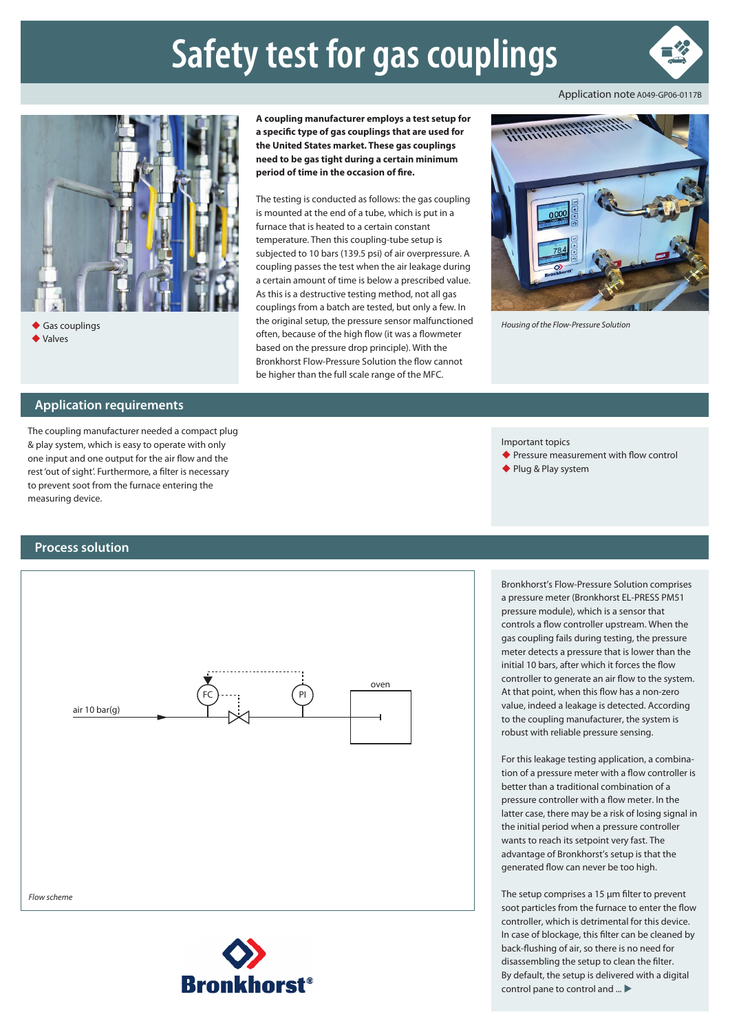## **Safety test for gas couplings**





◆ Gas couplings Valves

**Application requirements**

The coupling manufacturer needed a compact plug & play system, which is easy to operate with only one input and one output for the air flow and the rest 'out of sight'. Furthermore, a filter is necessary to prevent soot from the furnace entering the measuring device.

**A coupling manufacturer employs a test setup for a specific type of gas couplings that are used for the United States market. These gas couplings need to be gas tight during a certain minimum period of time in the occasion of fire.**

The testing is conducted as follows: the gas coupling is mounted at the end of a tube, which is put in a furnace that is heated to a certain constant temperature. Then this coupling-tube setup is subjected to 10 bars (139.5 psi) of air overpressure. A coupling passes the test when the air leakage during a certain amount of time is below a prescribed value. As this is a destructive testing method, not all gas couplings from a batch are tested, but only a few. In the original setup, the pressure sensor malfunctioned often, because of the high flow (it was a flowmeter based on the pressure drop principle). With the Bronkhorst Flow-Pressure Solution the flow cannot be higher than the full scale range of the MFC.



*Housing of the Flow-Pressure Solution*

Important topics

◆ Pressure measurement with flow control

Bronkhorst's Flow-Pressure Solution comprises a pressure meter (Bronkhorst EL-PRESS PM51 pressure module), which is a sensor that controls a flow controller upstream. When the gas coupling fails during testing, the pressure meter detects a pressure that is lower than the initial 10 bars, after which it forces the flow controller to generate an air flow to the system. At that point, when this flow has a non-zero value, indeed a leakage is detected. According to the coupling manufacturer, the system is robust with reliable pressure sensing.

For this leakage testing application, a combination of a pressure meter with a flow controller is better than a traditional combination of a pressure controller with a flow meter. In the latter case, there may be a risk of losing signal in the initial period when a pressure controller wants to reach its setpoint very fast. The advantage of Bronkhorst's setup is that the generated flow can never be too high.

◆ Plug & Play system

## **Process solution**



The setup comprises a 15 μm filter to prevent soot particles from the furnace to enter the flow controller, which is detrimental for this device. In case of blockage, this filter can be cleaned by back-flushing of air, so there is no need for disassembling the setup to clean the filter. By default, the setup is delivered with a digital control pane to control and  $\ldots$